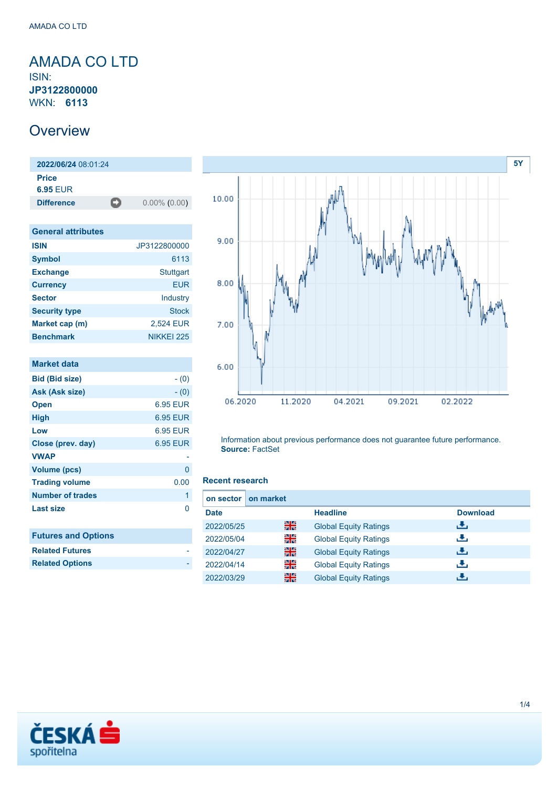### <span id="page-0-0"></span>AMADA CO LTD ISIN: **JP3122800000** WKN: **6113**

### **Overview**

**2022/06/24** 08:01:24 **Price 6.95** EUR **Difference** 0.00% (0.00)

| <b>General attributes</b> |              |
|---------------------------|--------------|
| <b>ISIN</b>               | JP3122800000 |
| <b>Symbol</b>             | 6113         |
| <b>Exchange</b>           | Stuttgart    |
| <b>Currency</b>           | EUR          |
| <b>Sector</b>             | Industry     |
| <b>Security type</b>      | <b>Stock</b> |
| Market cap (m)            | 2,524 EUR    |
| <b>Benchmark</b>          | NIKKEI 225   |

| Market data                |          |
|----------------------------|----------|
| <b>Bid (Bid size)</b>      | $- (0)$  |
| Ask (Ask size)             | $- (0)$  |
| <b>Open</b>                | 6.95 EUR |
| <b>High</b>                | 6.95 EUR |
| Low                        | 6.95 EUR |
| Close (prev. day)          | 6.95 EUR |
| <b>VWAP</b>                |          |
| <b>Volume (pcs)</b>        | 0        |
| <b>Trading volume</b>      | 0.00     |
| <b>Number of trades</b>    | 1        |
| <b>Last size</b>           | O        |
| <b>Futures and Options</b> |          |
| <b>Related Futures</b>     |          |
| <b>Related Options</b>     |          |



Information about previous performance does not guarantee future performance. **Source:** FactSet

#### **Recent research**

| on sector I | on market |                              |                 |
|-------------|-----------|------------------------------|-----------------|
| <b>Date</b> |           | <b>Headline</b>              | <b>Download</b> |
| 2022/05/25  | 꾉쭍        | <b>Global Equity Ratings</b> | æ.              |
| 2022/05/04  | 을         | <b>Global Equity Ratings</b> | æ,              |
| 2022/04/27  | 噐         | <b>Global Equity Ratings</b> | æ,              |
| 2022/04/14  | 꾉뚢        | <b>Global Equity Ratings</b> | æ,              |
| 2022/03/29  | 噐         | <b>Global Equity Ratings</b> | راق             |

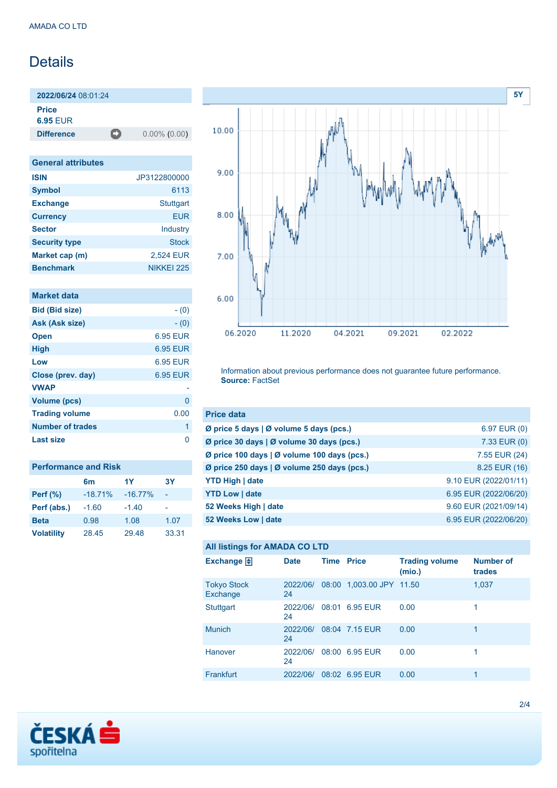## **Details**

**2022/06/24** 08:01:24

**Price**

**6.95** EUR

**Difference** 0.00% (0.00)

| <b>General attributes</b> |                  |  |  |  |
|---------------------------|------------------|--|--|--|
| <b>ISIN</b>               | JP3122800000     |  |  |  |
| <b>Symbol</b>             | 6113             |  |  |  |
| <b>Exchange</b>           | <b>Stuttgart</b> |  |  |  |
| <b>Currency</b>           | FUR              |  |  |  |
| <b>Sector</b>             | Industry         |  |  |  |
| <b>Security type</b>      | <b>Stock</b>     |  |  |  |
| Market cap (m)            | 2,524 EUR        |  |  |  |
| <b>Benchmark</b>          | NIKKEI 225       |  |  |  |

| <b>Market data</b>      |                 |
|-------------------------|-----------------|
| <b>Bid (Bid size)</b>   | $- (0)$         |
| Ask (Ask size)          | $- (0)$         |
| <b>Open</b>             | 6.95 EUR        |
| <b>High</b>             | 6.95 EUR        |
| Low                     | <b>6.95 EUR</b> |
| Close (prev. day)       | 6.95 EUR        |
| <b>VWAP</b>             |                 |
| <b>Volume (pcs)</b>     | 0               |
| <b>Trading volume</b>   | 0.00            |
| <b>Number of trades</b> | 1               |
| Last size               | n               |

| <b>Performance and Risk</b> |                |           |       |  |  |
|-----------------------------|----------------|-----------|-------|--|--|
|                             | 6 <sub>m</sub> | 1Y        | 3Υ    |  |  |
| <b>Perf (%)</b>             | $-18.71%$      | $-16.77%$ |       |  |  |
| Perf (abs.)                 | $-1.60$        | $-1.40$   |       |  |  |
| <b>Beta</b>                 | 0.98           | 1.08      | 1.07  |  |  |
| <b>Volatility</b>           | 28.45          | 29.48     | 33.31 |  |  |



Information about previous performance does not guarantee future performance. **Source:** FactSet

| <b>Price data</b>                           |                       |
|---------------------------------------------|-----------------------|
| Ø price 5 days   Ø volume 5 days (pcs.)     | 6.97 EUR (0)          |
| Ø price 30 days   Ø volume 30 days (pcs.)   | 7.33 EUR (0)          |
| Ø price 100 days   Ø volume 100 days (pcs.) | 7.55 EUR (24)         |
| Ø price 250 days   Ø volume 250 days (pcs.) | 8.25 EUR (16)         |
| <b>YTD High   date</b>                      | 9.10 EUR (2022/01/11) |
| <b>YTD Low   date</b>                       | 6.95 EUR (2022/06/20) |
| 52 Weeks High   date                        | 9.60 EUR (2021/09/14) |
| 52 Weeks Low   date                         | 6.95 EUR (2022/06/20) |

#### **All listings for AMADA CO LTD**

| ີ                              |                |                   |                          |                                 |                            |
|--------------------------------|----------------|-------------------|--------------------------|---------------------------------|----------------------------|
| Exchange $\Box$                | <b>Date</b>    | <b>Time Price</b> |                          | <b>Trading volume</b><br>(mio.) | <b>Number of</b><br>trades |
| <b>Tokyo Stock</b><br>Exchange | 2022/06/<br>24 |                   | 08:00 1,003.00 JPY 11.50 |                                 | 1,037                      |
| <b>Stuttgart</b>               | 2022/06/<br>24 |                   | 08:01 6.95 EUR           | 0.00                            | 1                          |
| <b>Munich</b>                  | 2022/06/<br>24 |                   | 08:04 7.15 EUR           | 0.00                            | 1                          |
| Hanover                        | 2022/06/<br>24 |                   | 08:00 6.95 EUR           | 0.00                            | 1                          |
| Frankfurt                      | 2022/06/       |                   | 08:02 6.95 EUR           | 0.00                            | 1                          |

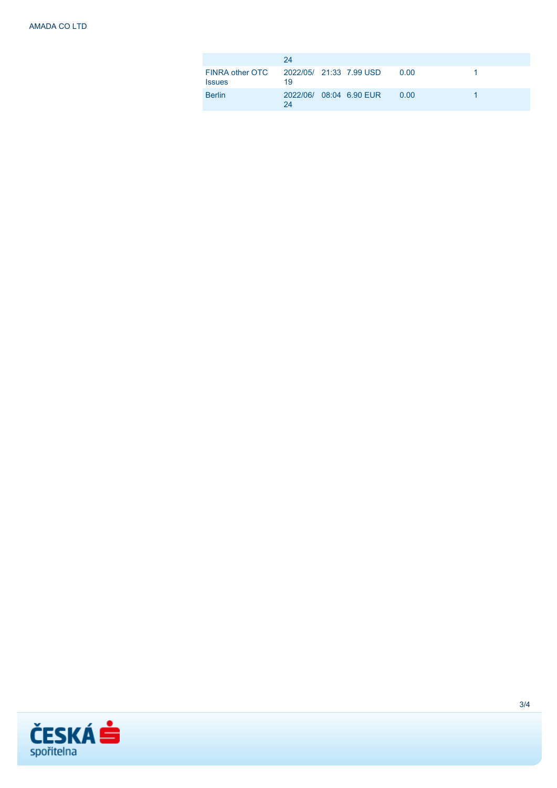|                                                          | 24                            |  |      |  |
|----------------------------------------------------------|-------------------------------|--|------|--|
| FINRA other OTC 2022/05/ 21:33 7.99 USD<br><b>Issues</b> | 19                            |  | 0.00 |  |
| <b>Berlin</b>                                            | 2022/06/ 08:04 6.90 EUR<br>24 |  | 0.00 |  |